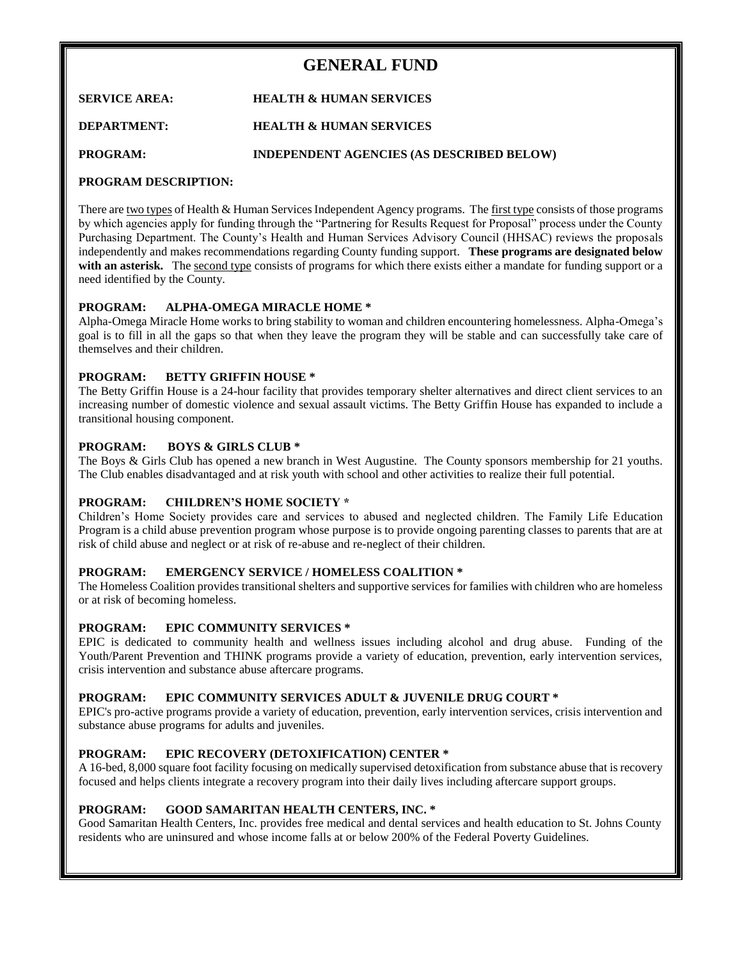# **GENERAL FUND**

**SERVICE AREA: HEALTH & HUMAN SERVICES**

# **DEPARTMENT: HEALTH & HUMAN SERVICES**

**PROGRAM: INDEPENDENT AGENCIES (AS DESCRIBED BELOW)**

# **PROGRAM DESCRIPTION:**

There are two types of Health & Human Services Independent Agency programs. The first type consists of those programs by which agencies apply for funding through the "Partnering for Results Request for Proposal" process under the County Purchasing Department. The County's Health and Human Services Advisory Council (HHSAC) reviews the proposals independently and makes recommendations regarding County funding support. **These programs are designated below**  with an asterisk. The second type consists of programs for which there exists either a mandate for funding support or a need identified by the County.

## **PROGRAM: ALPHA-OMEGA MIRACLE HOME \***

Alpha-Omega Miracle Home works to bring stability to woman and children encountering homelessness. Alpha-Omega's goal is to fill in all the gaps so that when they leave the program they will be stable and can successfully take care of themselves and their children.

# **PROGRAM: BETTY GRIFFIN HOUSE \***

The Betty Griffin House is a 24-hour facility that provides temporary shelter alternatives and direct client services to an increasing number of domestic violence and sexual assault victims. The Betty Griffin House has expanded to include a transitional housing component.

# **PROGRAM: BOYS & GIRLS CLUB \***

The Boys & Girls Club has opened a new branch in West Augustine. The County sponsors membership for 21 youths. The Club enables disadvantaged and at risk youth with school and other activities to realize their full potential.

# **PROGRAM: CHILDREN'S HOME SOCIETY \***

Children's Home Society provides care and services to abused and neglected children. The Family Life Education Program is a child abuse prevention program whose purpose is to provide ongoing parenting classes to parents that are at risk of child abuse and neglect or at risk of re-abuse and re-neglect of their children.

## **PROGRAM: EMERGENCY SERVICE / HOMELESS COALITION \***

The Homeless Coalition provides transitional shelters and supportive services for families with children who are homeless or at risk of becoming homeless.

## **PROGRAM: EPIC COMMUNITY SERVICES \***

EPIC is dedicated to community health and wellness issues including alcohol and drug abuse. Funding of the Youth/Parent Prevention and THINK programs provide a variety of education, prevention, early intervention services, crisis intervention and substance abuse aftercare programs.

## **PROGRAM: EPIC COMMUNITY SERVICES ADULT & JUVENILE DRUG COURT \***

EPIC's pro-active programs provide a variety of education, prevention, early intervention services, crisis intervention and substance abuse programs for adults and juveniles.

# **PROGRAM: EPIC RECOVERY (DETOXIFICATION) CENTER \***

A 16-bed, 8,000 square foot facility focusing on medically supervised detoxification from substance abuse that is recovery focused and helps clients integrate a recovery program into their daily lives including aftercare support groups.

# **PROGRAM: GOOD SAMARITAN HEALTH CENTERS, INC. \***

Good Samaritan Health Centers, Inc. provides free medical and dental services and health education to St. Johns County residents who are uninsured and whose income falls at or below 200% of the Federal Poverty Guidelines.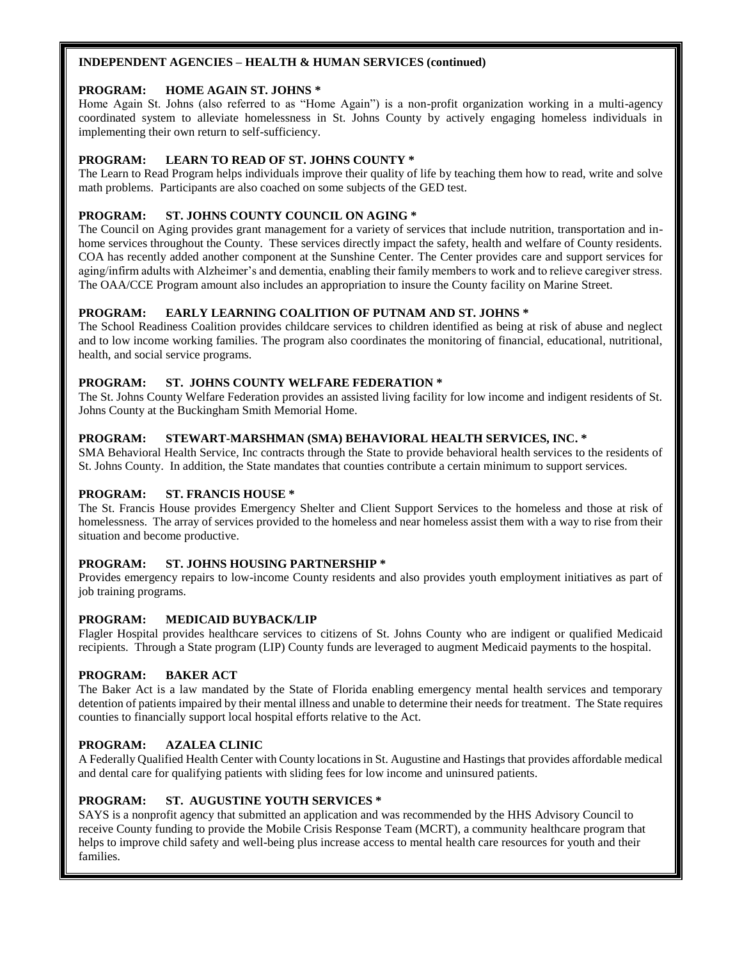## **INDEPENDENT AGENCIES – HEALTH & HUMAN SERVICES (continued)**

## **PROGRAM: HOME AGAIN ST. JOHNS \***

Home Again St. Johns (also referred to as "Home Again") is a non-profit organization working in a multi-agency coordinated system to alleviate homelessness in St. Johns County by actively engaging homeless individuals in implementing their own return to self-sufficiency.

# **PROGRAM: LEARN TO READ OF ST. JOHNS COUNTY \***

The Learn to Read Program helps individuals improve their quality of life by teaching them how to read, write and solve math problems. Participants are also coached on some subjects of the GED test.

# **PROGRAM: ST. JOHNS COUNTY COUNCIL ON AGING \***

The Council on Aging provides grant management for a variety of services that include nutrition, transportation and inhome services throughout the County. These services directly impact the safety, health and welfare of County residents. COA has recently added another component at the Sunshine Center. The Center provides care and support services for aging/infirm adults with Alzheimer's and dementia, enabling their family members to work and to relieve caregiver stress. The OAA/CCE Program amount also includes an appropriation to insure the County facility on Marine Street.

## **PROGRAM: EARLY LEARNING COALITION OF PUTNAM AND ST. JOHNS \***

The School Readiness Coalition provides childcare services to children identified as being at risk of abuse and neglect and to low income working families. The program also coordinates the monitoring of financial, educational, nutritional, health, and social service programs.

## **PROGRAM: ST. JOHNS COUNTY WELFARE FEDERATION \***

The St. Johns County Welfare Federation provides an assisted living facility for low income and indigent residents of St. Johns County at the Buckingham Smith Memorial Home.

## **PROGRAM: STEWART-MARSHMAN (SMA) BEHAVIORAL HEALTH SERVICES, INC. \***

SMA Behavioral Health Service, Inc contracts through the State to provide behavioral health services to the residents of St. Johns County. In addition, the State mandates that counties contribute a certain minimum to support services.

## **PROGRAM: ST. FRANCIS HOUSE \***

The St. Francis House provides Emergency Shelter and Client Support Services to the homeless and those at risk of homelessness. The array of services provided to the homeless and near homeless assist them with a way to rise from their situation and become productive.

## **PROGRAM: ST. JOHNS HOUSING PARTNERSHIP \***

Provides emergency repairs to low-income County residents and also provides youth employment initiatives as part of job training programs.

# **PROGRAM: MEDICAID BUYBACK/LIP**

Flagler Hospital provides healthcare services to citizens of St. Johns County who are indigent or qualified Medicaid recipients. Through a State program (LIP) County funds are leveraged to augment Medicaid payments to the hospital.

## **PROGRAM: BAKER ACT**

The Baker Act is a law mandated by the State of Florida enabling emergency mental health services and temporary detention of patients impaired by their mental illness and unable to determine their needs for treatment. The State requires counties to financially support local hospital efforts relative to the Act.

## **PROGRAM: AZALEA CLINIC**

A Federally Qualified Health Center with County locations in St. Augustine and Hastings that provides affordable medical and dental care for qualifying patients with sliding fees for low income and uninsured patients.

## **PROGRAM: ST. AUGUSTINE YOUTH SERVICES \***

SAYS is a nonprofit agency that submitted an application and was recommended by the HHS Advisory Council to receive County funding to provide the Mobile Crisis Response Team (MCRT), a community healthcare program that helps to improve child safety and well-being plus increase access to mental health care resources for youth and their families.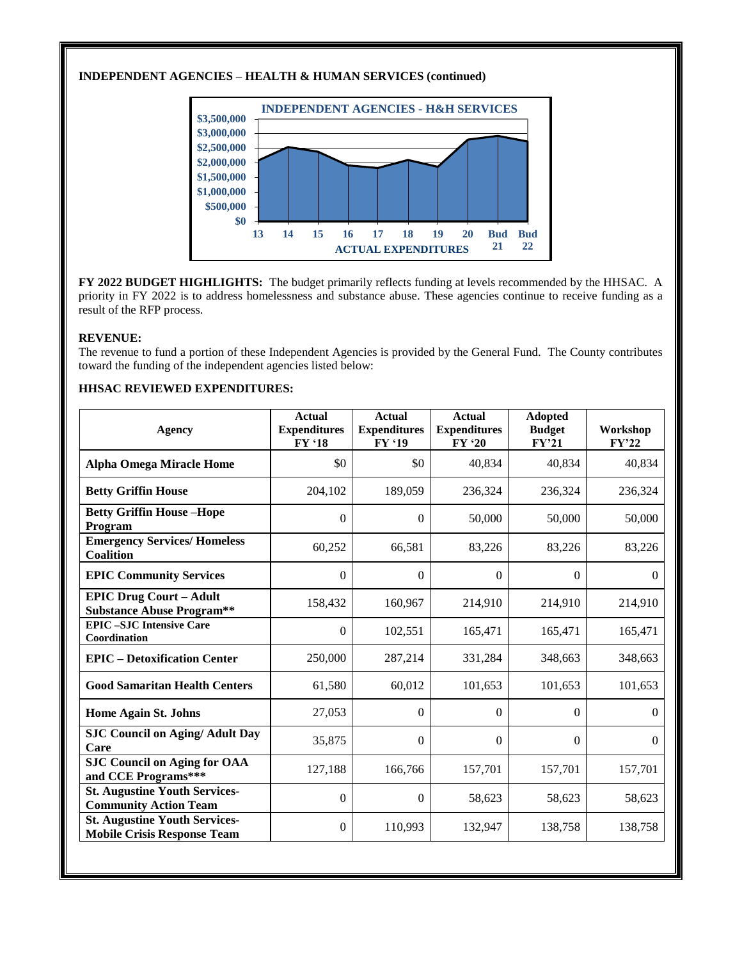# **INDEPENDENT AGENCIES – HEALTH & HUMAN SERVICES (continued)**



**FY 2022 BUDGET HIGHLIGHTS:** The budget primarily reflects funding at levels recommended by the HHSAC. A priority in FY 2022 is to address homelessness and substance abuse. These agencies continue to receive funding as a result of the RFP process.

#### **REVENUE:**

The revenue to fund a portion of these Independent Agencies is provided by the General Fund. The County contributes toward the funding of the independent agencies listed below:

## **HHSAC REVIEWED EXPENDITURES:**

| <b>Agency</b>                                                              | <b>Actual</b><br><b>Expenditures</b><br>FY '18 | <b>Actual</b><br><b>Expenditures</b><br>FY '19 | <b>Actual</b><br><b>Expenditures</b><br>FY '20 | <b>Adopted</b><br><b>Budget</b><br>FY'21 | Workshop<br>FY'22 |
|----------------------------------------------------------------------------|------------------------------------------------|------------------------------------------------|------------------------------------------------|------------------------------------------|-------------------|
| <b>Alpha Omega Miracle Home</b>                                            | \$0                                            | \$0                                            | 40,834                                         | 40,834                                   | 40,834            |
| <b>Betty Griffin House</b>                                                 | 204,102                                        | 189,059                                        | 236,324                                        | 236,324                                  | 236,324           |
| <b>Betty Griffin House-Hope</b><br>Program                                 | $\Omega$                                       | $\Omega$                                       | 50,000                                         | 50,000                                   | 50,000            |
| <b>Emergency Services/Homeless</b><br>Coalition                            | 60,252                                         | 66,581                                         | 83,226                                         | 83,226                                   | 83,226            |
| <b>EPIC Community Services</b>                                             | $\theta$                                       | $\theta$                                       | $\overline{0}$                                 | $\Omega$                                 | $\Omega$          |
| <b>EPIC Drug Court - Adult</b><br><b>Substance Abuse Program**</b>         | 158,432                                        | 160,967                                        | 214,910                                        | 214,910                                  | 214,910           |
| <b>EPIC-SJC Intensive Care</b><br>Coordination                             | $\Omega$                                       | 102,551                                        | 165,471                                        | 165,471                                  | 165,471           |
| <b>EPIC</b> – Detoxification Center                                        | 250,000                                        | 287,214                                        | 331,284                                        | 348,663                                  | 348,663           |
| <b>Good Samaritan Health Centers</b>                                       | 61,580                                         | 60,012                                         | 101,653                                        | 101,653                                  | 101,653           |
| <b>Home Again St. Johns</b>                                                | 27,053                                         | $\mathbf{0}$                                   | $\Omega$                                       | $\Omega$                                 | $\Omega$          |
| <b>SJC Council on Aging/ Adult Day</b><br>Care                             | 35,875                                         | $\Omega$                                       | $\Omega$                                       | $\Omega$                                 | $\Omega$          |
| <b>SJC Council on Aging for OAA</b><br>and CCE Programs***                 | 127,188                                        | 166,766                                        | 157,701                                        | 157,701                                  | 157,701           |
| <b>St. Augustine Youth Services-</b><br><b>Community Action Team</b>       | $\boldsymbol{0}$                               | $\theta$                                       | 58,623                                         | 58,623                                   | 58,623            |
| <b>St. Augustine Youth Services-</b><br><b>Mobile Crisis Response Team</b> | $\Omega$                                       | 110,993                                        | 132,947                                        | 138,758                                  | 138,758           |